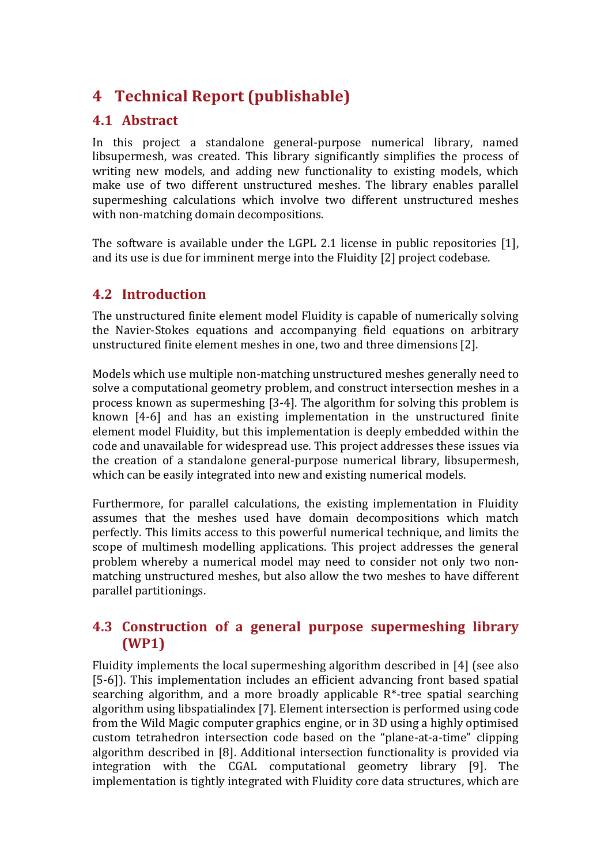# **4 Technical Report (publishable)**

## **4.1 Abstract**

In this project a standalone general-purpose numerical library, named libsupermesh, was created. This library significantly simplifies the process of writing new models, and adding new functionality to existing models, which make use of two different unstructured meshes. The library enables parallel supermeshing calculations which involve two different unstructured meshes with non-matching domain decompositions.

The software is available under the LGPL 2.1 license in public repositories [1], and its use is due for imminent merge into the Fluidity [2] project codebase.

## **4.2 Introduction**

The unstructured finite element model Fluidity is capable of numerically solving the Navier-Stokes equations and accompanying field equations on arbitrary unstructured finite element meshes in one, two and three dimensions [2].

Models which use multiple non-matching unstructured meshes generally need to solve a computational geometry problem, and construct intersection meshes in a process known as supermeshing [3-4]. The algorithm for solving this problem is known [4-6] and has an existing implementation in the unstructured finite element model Fluidity, but this implementation is deeply embedded within the code and unavailable for widespread use. This project addresses these issues via the creation of a standalone general-purpose numerical library, libsupermesh, which can be easily integrated into new and existing numerical models.

Furthermore, for parallel calculations, the existing implementation in Fluidity assumes that the meshes used have domain decompositions which match perfectly. This limits access to this powerful numerical technique, and limits the scope of multimesh modelling applications. This project addresses the general problem whereby a numerical model may need to consider not only two nonmatching unstructured meshes, but also allow the two meshes to have different parallel partitionings.

## **4.3 Construction of a general purpose supermeshing library (WP1)**

Fluidity implements the local supermeshing algorithm described in  $[4]$  (see also [5-6]). This implementation includes an efficient advancing front based spatial searching algorithm, and a more broadly applicable  $R^*$ -tree spatial searching algorithm using libspatialindex [7]. Element intersection is performed using code from the Wild Magic computer graphics engine, or in 3D using a highly optimised custom tetrahedron intersection code based on the "plane-at-a-time" clipping algorithm described in [8]. Additional intersection functionality is provided via integration with the CGAL computational geometry library [9]. The implementation is tightly integrated with Fluidity core data structures, which are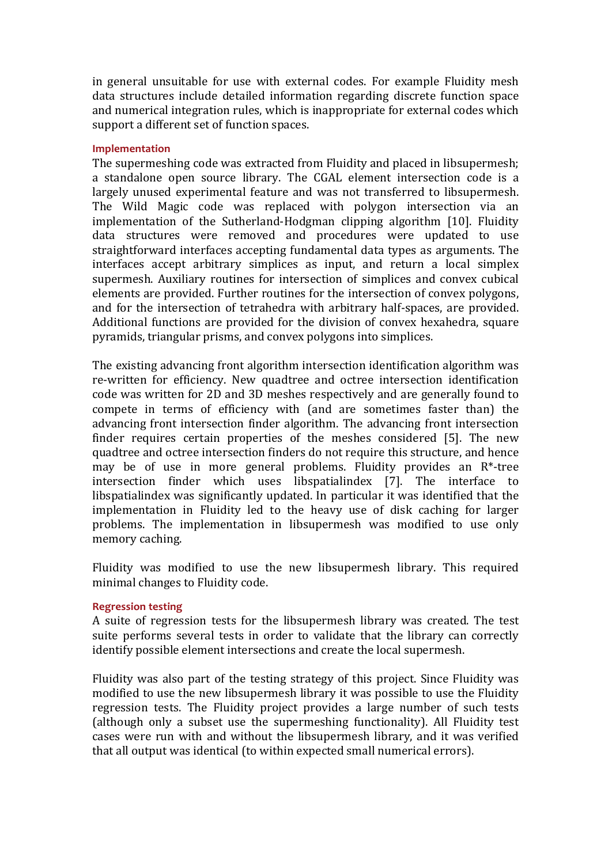in general unsuitable for use with external codes. For example Fluidity mesh data structures include detailed information regarding discrete function space and numerical integration rules, which is inappropriate for external codes which support a different set of function spaces.

#### **Implementation**

The supermeshing code was extracted from Fluidity and placed in libsupermesh; a standalone open source library. The CGAL element intersection code is a largely unused experimental feature and was not transferred to libsupermesh. The Wild Magic code was replaced with polygon intersection via an implementation of the Sutherland-Hodgman clipping algorithm [10]. Fluidity data structures were removed and procedures were updated to use straightforward interfaces accepting fundamental data types as arguments. The interfaces accept arbitrary simplices as input, and return a local simplex supermesh. Auxiliary routines for intersection of simplices and convex cubical elements are provided. Further routines for the intersection of convex polygons, and for the intersection of tetrahedra with arbitrary half-spaces, are provided. Additional functions are provided for the division of convex hexahedra, square pyramids, triangular prisms, and convex polygons into simplices.

The existing advancing front algorithm intersection identification algorithm was re-written for efficiency. New quadtree and octree intersection identification code was written for 2D and 3D meshes respectively and are generally found to compete in terms of efficiency with (and are sometimes faster than) the advancing front intersection finder algorithm. The advancing front intersection finder requires certain properties of the meshes considered [5]. The new quadtree and octree intersection finders do not require this structure, and hence may be of use in more general problems. Fluidity provides an  $R^*$ -tree intersection finder which uses libspatialindex [7]. The interface to libspatialindex was significantly updated. In particular it was identified that the implementation in Fluidity led to the heavy use of disk caching for larger problems. The implementation in libsupermesh was modified to use only memory caching.

Fluidity was modified to use the new libsupermesh library. This required minimal changes to Fluidity code.

#### **Regression testing**

A suite of regression tests for the libsupermesh library was created. The test suite performs several tests in order to validate that the library can correctly identify possible element intersections and create the local supermesh.

Fluidity was also part of the testing strategy of this project. Since Fluidity was modified to use the new libsupermesh library it was possible to use the Fluidity regression tests. The Fluidity project provides a large number of such tests (although only a subset use the supermeshing functionality). All Fluidity test cases were run with and without the libsupermesh library, and it was verified that all output was identical (to within expected small numerical errors).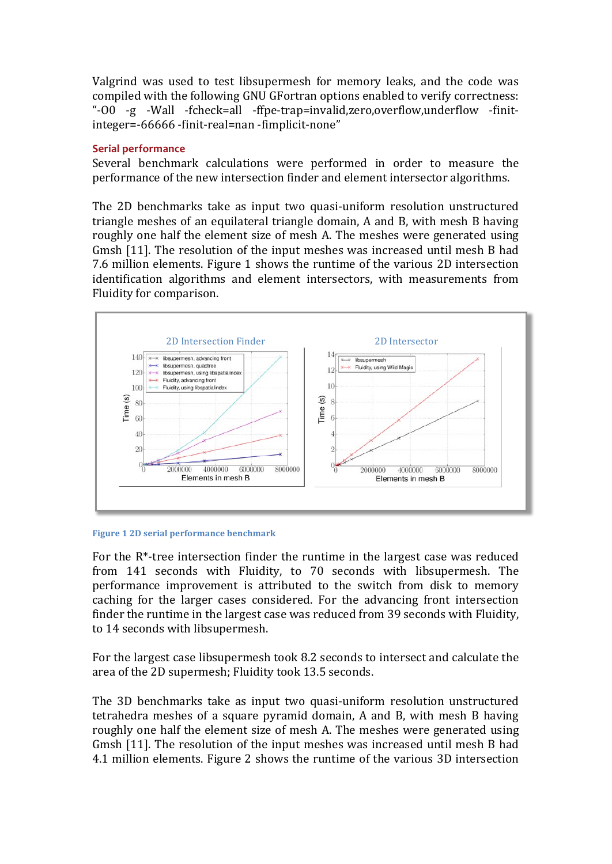Valgrind was used to test libsupermesh for memory leaks, and the code was compiled with the following GNU GFortran options enabled to verify correctness: "-O0 -g -Wall -fcheck=all -ffpe-trap=invalid,zero,overflow,underflow -finitinteger=-66666 -finit-real=nan -fimplicit-none"

## **Serial performance**

Several benchmark calculations were performed in order to measure the performance of the new intersection finder and element intersector algorithms.

The 2D benchmarks take as input two quasi-uniform resolution unstructured triangle meshes of an equilateral triangle domain, A and B, with mesh B having roughly one half the element size of mesh A. The meshes were generated using Gmsh [11]. The resolution of the input meshes was increased until mesh B had 7.6 million elements. Figure 1 shows the runtime of the various 2D intersection identification algorithms and element intersectors, with measurements from Fluidity for comparison.



#### **Figure 1 2D serial performance benchmark**

For the  $R^*$ -tree intersection finder the runtime in the largest case was reduced from 141 seconds with Fluidity, to 70 seconds with libsupermesh. The performance improvement is attributed to the switch from disk to memory caching for the larger cases considered. For the advancing front intersection finder the runtime in the largest case was reduced from 39 seconds with Fluidity, to 14 seconds with libsupermesh.

For the largest case libsupermesh took 8.2 seconds to intersect and calculate the area of the 2D supermesh; Fluidity took 13.5 seconds.

The 3D benchmarks take as input two quasi-uniform resolution unstructured tetrahedra meshes of a square pyramid domain, A and B, with mesh B having roughly one half the element size of mesh A. The meshes were generated using Gmsh [11]. The resolution of the input meshes was increased until mesh B had 4.1 million elements. Figure 2 shows the runtime of the various 3D intersection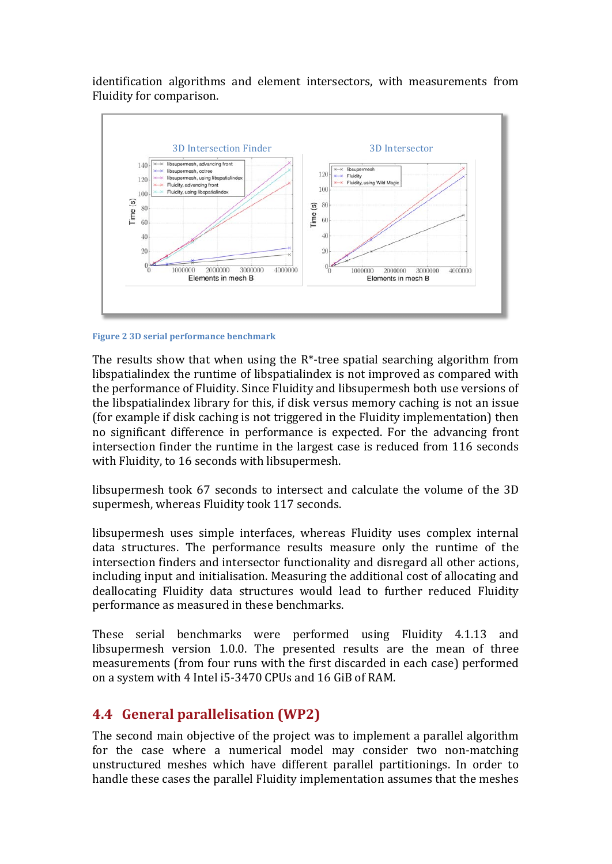identification algorithms and element intersectors, with measurements from Fluidity for comparison.



#### **Figure 2 3D serial performance benchmark**

The results show that when using the  $R^*$ -tree spatial searching algorithm from libspatialindex the runtime of libspatialindex is not improved as compared with the performance of Fluidity. Since Fluidity and libsupermesh both use versions of the libspatialindex library for this, if disk versus memory caching is not an issue (for example if disk caching is not triggered in the Fluidity implementation) then no significant difference in performance is expected. For the advancing front intersection finder the runtime in the largest case is reduced from 116 seconds with Fluidity, to 16 seconds with libsupermesh.

libsupermesh took 67 seconds to intersect and calculate the volume of the 3D supermesh, whereas Fluidity took 117 seconds.

libsupermesh uses simple interfaces, whereas Fluidity uses complex internal data structures. The performance results measure only the runtime of the intersection finders and intersector functionality and disregard all other actions, including input and initialisation. Measuring the additional cost of allocating and deallocating Fluidity data structures would lead to further reduced Fluidity performance as measured in these benchmarks.

These serial benchmarks were performed using Fluidity 4.1.13 and libsupermesh version 1.0.0. The presented results are the mean of three measurements (from four runs with the first discarded in each case) performed on a system with 4 Intel i5-3470 CPUs and 16 GiB of RAM.

## **4.4 General parallelisation (WP2)**

The second main objective of the project was to implement a parallel algorithm for the case where a numerical model may consider two non-matching unstructured meshes which have different parallel partitionings. In order to handle these cases the parallel Fluidity implementation assumes that the meshes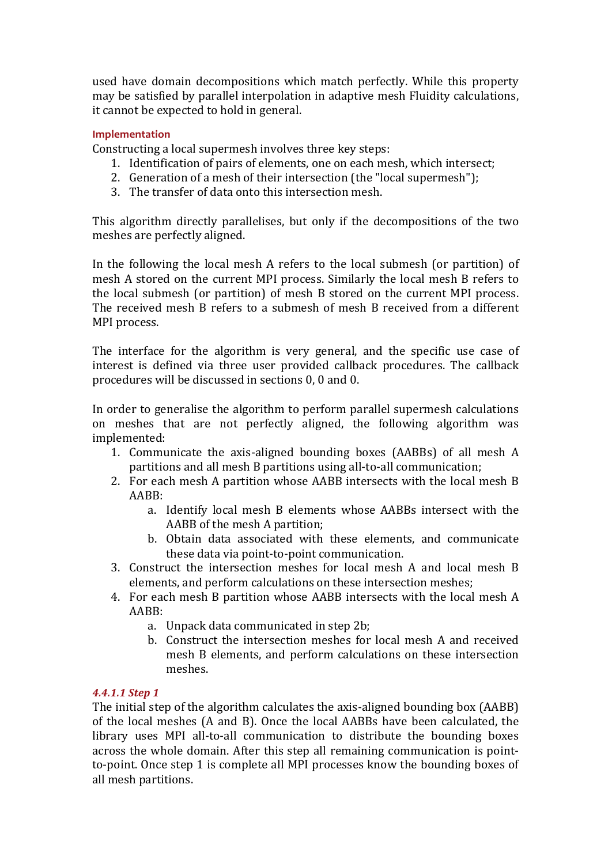used have domain decompositions which match perfectly. While this property may be satisfied by parallel interpolation in adaptive mesh Fluidity calculations, it cannot be expected to hold in general.

## **Implementation**

Constructing a local supermesh involves three key steps:

- 1. Identification of pairs of elements, one on each mesh, which intersect;
- 2. Generation of a mesh of their intersection (the "local supermesh");
- 3. The transfer of data onto this intersection mesh.

This algorithm directly parallelises, but only if the decompositions of the two meshes are perfectly aligned.

In the following the local mesh A refers to the local submesh (or partition) of mesh A stored on the current MPI process. Similarly the local mesh B refers to the local submesh (or partition) of mesh B stored on the current MPI process. The received mesh B refers to a submesh of mesh B received from a different MPI process.

The interface for the algorithm is very general, and the specific use case of interest is defined via three user provided callback procedures. The callback procedures will be discussed in sections 0, 0 and 0.

In order to generalise the algorithm to perform parallel supermesh calculations on meshes that are not perfectly aligned, the following algorithm was implemented:

- 1. Communicate the axis-aligned bounding boxes (AABBs) of all mesh A partitions and all mesh B partitions using all-to-all communication;
- 2. For each mesh A partition whose AABB intersects with the local mesh B AABB:
	- a. Identify local mesh B elements whose AABBs intersect with the AABB of the mesh A partition;
	- b. Obtain data associated with these elements, and communicate these data via point-to-point communication.
- 3. Construct the intersection meshes for local mesh A and local mesh B elements, and perform calculations on these intersection meshes;
- 4. For each mesh B partition whose AABB intersects with the local mesh A AABB:
	- a. Unpack data communicated in step 2b;
	- b. Construct the intersection meshes for local mesh A and received mesh B elements, and perform calculations on these intersection meshes.

## *4.4.1.1 Step 1*

The initial step of the algorithm calculates the axis-aligned bounding box (AABB) of the local meshes (A and B). Once the local AABBs have been calculated, the library uses MPI all-to-all communication to distribute the bounding boxes across the whole domain. After this step all remaining communication is pointto-point. Once step 1 is complete all MPI processes know the bounding boxes of all mesh partitions.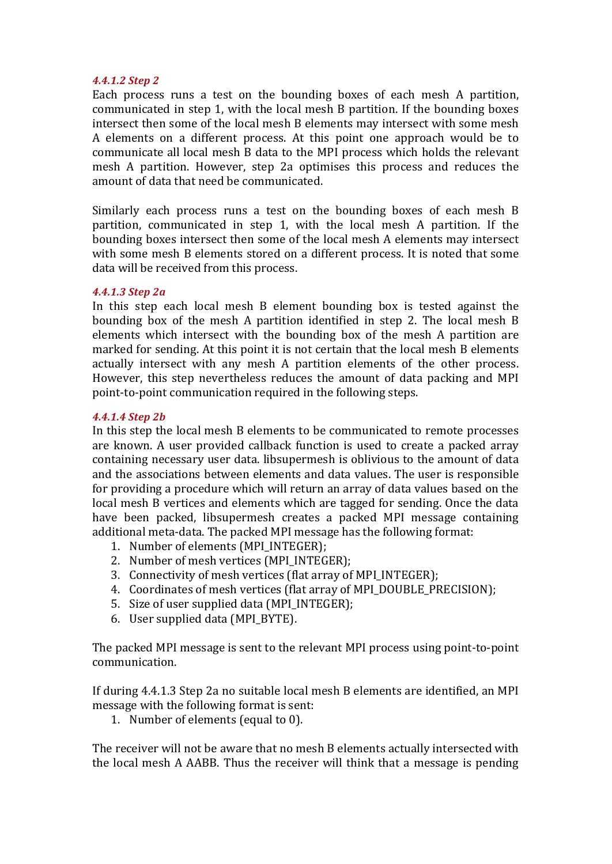### *4.4.1.2 Step 2*

Each process runs a test on the bounding boxes of each mesh A partition, communicated in step 1, with the local mesh B partition. If the bounding boxes intersect then some of the local mesh B elements may intersect with some mesh A elements on a different process. At this point one approach would be to communicate all local mesh B data to the MPI process which holds the relevant mesh A partition. However, step 2a optimises this process and reduces the amount of data that need be communicated.

Similarly each process runs a test on the bounding boxes of each mesh  $\overline{B}$ partition, communicated in step 1, with the local mesh A partition. If the bounding boxes intersect then some of the local mesh A elements may intersect with some mesh B elements stored on a different process. It is noted that some data will be received from this process.

#### *4.4.1.3 Step 2a*

In this step each local mesh  $B$  element bounding box is tested against the bounding box of the mesh A partition identified in step 2. The local mesh B elements which intersect with the bounding box of the mesh A partition are marked for sending. At this point it is not certain that the local mesh B elements actually intersect with any mesh A partition elements of the other process. However, this step nevertheless reduces the amount of data packing and MPI point-to-point communication required in the following steps.

#### *4.4.1.4 Step 2b*

In this step the local mesh B elements to be communicated to remote processes are known. A user provided callback function is used to create a packed array containing necessary user data. libsupermesh is oblivious to the amount of data and the associations between elements and data values. The user is responsible for providing a procedure which will return an array of data values based on the local mesh B vertices and elements which are tagged for sending. Once the data have been packed, libsupermesh creates a packed MPI message containing additional meta-data. The packed MPI message has the following format:

- 1. Number of elements (MPI\_INTEGER);
- 2. Number of mesh vertices (MPI\_INTEGER);
- 3. Connectivity of mesh vertices (flat array of MPI\_INTEGER);
- 4. Coordinates of mesh vertices (flat array of MPI\_DOUBLE\_PRECISION);
- 5. Size of user supplied data (MPI\_INTEGER);
- 6. User supplied data (MPI\_BYTE).

The packed MPI message is sent to the relevant MPI process using point-to-point communication.

If during 4.4.1.3 Step 2a no suitable local mesh B elements are identified, an MPI message with the following format is sent:

1. Number of elements (equal to 0).

The receiver will not be aware that no mesh B elements actually intersected with the local mesh A AABB. Thus the receiver will think that a message is pending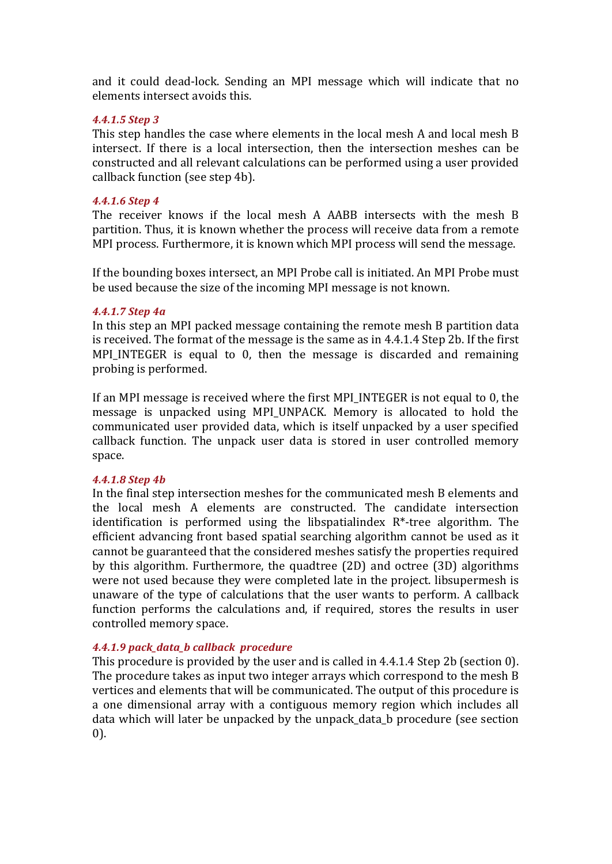and it could dead-lock. Sending an MPI message which will indicate that no elements intersect avoids this.

### *4.4.1.5 Step 3*

This step handles the case where elements in the local mesh A and local mesh B intersect. If there is a local intersection, then the intersection meshes can be constructed and all relevant calculations can be performed using a user provided callback function (see step 4b).

#### *4.4.1.6 Step 4*

The receiver knows if the local mesh A AABB intersects with the mesh B partition. Thus, it is known whether the process will receive data from a remote MPI process. Furthermore, it is known which MPI process will send the message.

If the bounding boxes intersect, an MPI Probe call is initiated. An MPI Probe must be used because the size of the incoming MPI message is not known.

#### *4.4.1.7 Step 4a*

In this step an MPI packed message containing the remote mesh B partition data is received. The format of the message is the same as in  $4.4.1.4$  Step 2b. If the first MPI\_INTEGER is equal to 0, then the message is discarded and remaining probing is performed.

If an MPI message is received where the first MPI INTEGER is not equal to 0, the message is unpacked using MPI\_UNPACK. Memory is allocated to hold the communicated user provided data, which is itself unpacked by a user specified callback function. The unpack user data is stored in user controlled memory space.

#### *4.4.1.8 Step 4b*

In the final step intersection meshes for the communicated mesh B elements and the local mesh A elements are constructed. The candidate intersection identification is performed using the libspatialindex  $R^*$ -tree algorithm. The efficient advancing front based spatial searching algorithm cannot be used as it cannot be guaranteed that the considered meshes satisfy the properties required by this algorithm. Furthermore, the quadtree  $(2D)$  and octree  $(3D)$  algorithms were not used because they were completed late in the project. libsupermesh is unaware of the type of calculations that the user wants to perform. A callback function performs the calculations and, if required, stores the results in user controlled memory space.

## *4.4.1.9 pack\_data\_b callback procedure*

This procedure is provided by the user and is called in  $4.4.1.4$  Step 2b (section 0). The procedure takes as input two integer arrays which correspond to the mesh B vertices and elements that will be communicated. The output of this procedure is a one dimensional array with a contiguous memory region which includes all data which will later be unpacked by the unpack\_data\_b procedure (see section 0).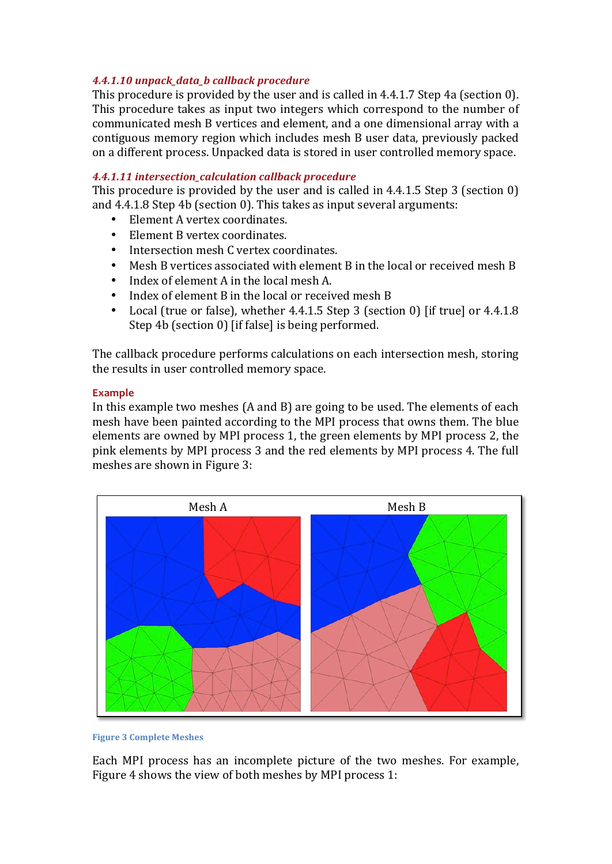## *4.4.1.10 unpack\_data\_b callback procedure*

This procedure is provided by the user and is called in  $4.4.1.7$  Step  $4a$  (section 0). This procedure takes as input two integers which correspond to the number of communicated mesh B vertices and element, and a one dimensional array with a contiguous memory region which includes mesh B user data, previously packed on a different process. Unpacked data is stored in user controlled memory space.

## *4.4.1.11 intersection\_calculation callback procedure*

This procedure is provided by the user and is called in 4.4.1.5 Step 3 (section  $0$ ) and  $4.4.1.8$  Step  $4b$  (section 0). This takes as input several arguments:

- Element A vertex coordinates.
- Element B vertex coordinates.
- Intersection mesh C vertex coordinates.
- Mesh B vertices associated with element B in the local or received mesh B
- Index of element A in the local mesh A.
- Index of element B in the local or received mesh B
- Local (true or false), whether  $4.4.1.5$  Step 3 (section 0) [if true] or  $4.4.1.8$ Step 4b (section 0) [if false] is being performed.

The callback procedure performs calculations on each intersection mesh, storing the results in user controlled memory space.

## **Example**

In this example two meshes  $(A \text{ and } B)$  are going to be used. The elements of each mesh have been painted according to the MPI process that owns them. The blue elements are owned by MPI process 1, the green elements by MPI process 2, the pink elements by MPI process 3 and the red elements by MPI process 4. The full meshes are shown in Figure 3:



**Figure 3 Complete Meshes** 

Each MPI process has an incomplete picture of the two meshes. For example, Figure 4 shows the view of both meshes by MPI process 1: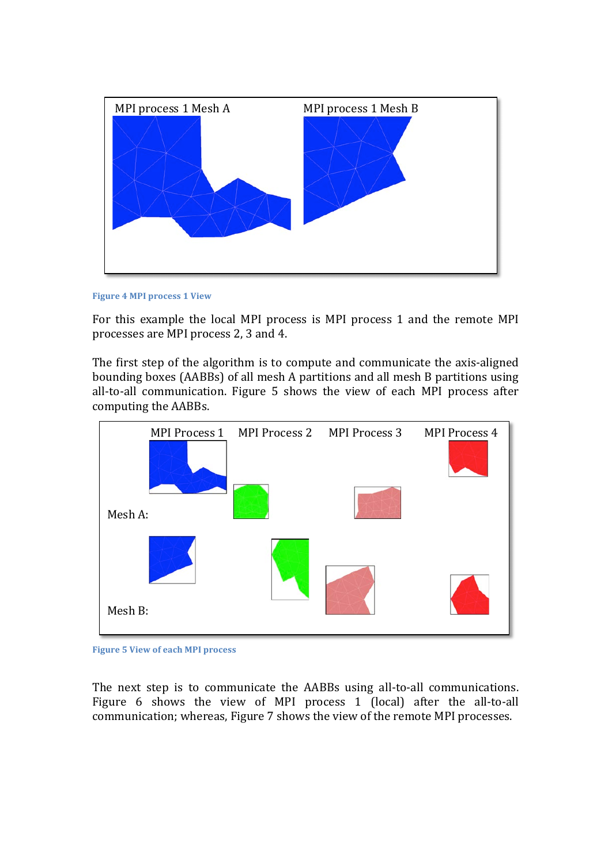

**Figure 4 MPI process 1 View** 

For this example the local MPI process is MPI process 1 and the remote MPI processes are MPI process 2, 3 and 4.

The first step of the algorithm is to compute and communicate the axis-aligned bounding boxes (AABBs) of all mesh A partitions and all mesh B partitions using all-to-all communication. Figure 5 shows the view of each MPI process after computing the AABBs.



**Figure 5 View of each MPI process** 

The next step is to communicate the AABBs using all-to-all communications. Figure 6 shows the view of MPI process 1 (local) after the all-to-all communication; whereas, Figure 7 shows the view of the remote MPI processes.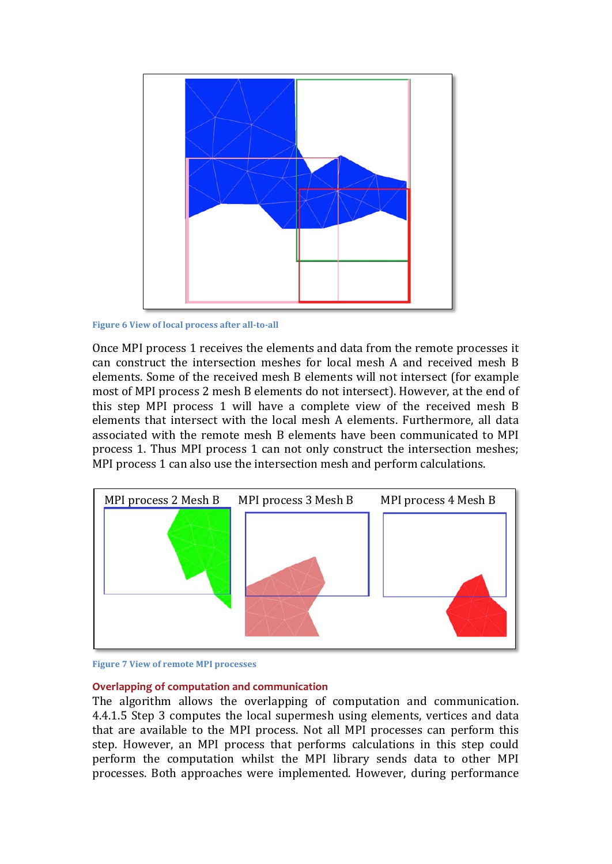

**Figure 6 View of local process after all-to-all** 

Once MPI process 1 receives the elements and data from the remote processes it can construct the intersection meshes for local mesh A and received mesh B elements. Some of the received mesh B elements will not intersect (for example most of MPI process 2 mesh B elements do not intersect). However, at the end of this step MPI process 1 will have a complete view of the received mesh  $\overline{B}$ elements that intersect with the local mesh A elements. Furthermore, all data associated with the remote mesh B elements have been communicated to MPI process 1. Thus MPI process 1 can not only construct the intersection meshes; MPI process 1 can also use the intersection mesh and perform calculations.





#### **Overlapping of computation and communication**

The algorithm allows the overlapping of computation and communication. 4.4.1.5 Step 3 computes the local supermesh using elements, vertices and data that are available to the MPI process. Not all MPI processes can perform this step. However, an MPI process that performs calculations in this step could perform the computation whilst the MPI library sends data to other MPI processes. Both approaches were implemented. However, during performance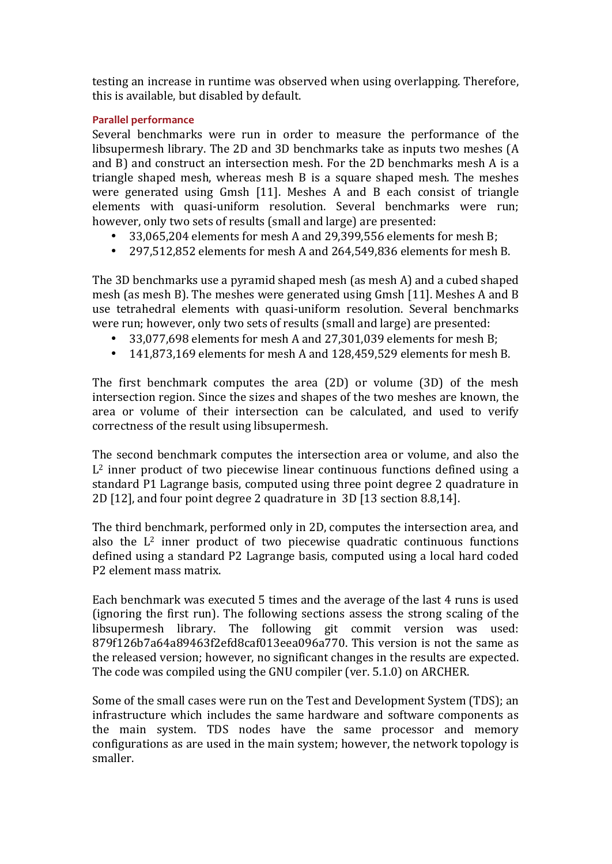testing an increase in runtime was observed when using overlapping. Therefore, this is available, but disabled by default.

## **Parallel performance**

Several benchmarks were run in order to measure the performance of the libsupermesh library. The 2D and 3D benchmarks take as inputs two meshes  $(A)$ and B) and construct an intersection mesh. For the 2D benchmarks mesh A is a triangle shaped mesh, whereas mesh  $B$  is a square shaped mesh. The meshes were generated using  $G$ msh [11]. Meshes A and B each consist of triangle elements with quasi-uniform resolution. Several benchmarks were run; however, only two sets of results (small and large) are presented:

- 33,065,204 elements for mesh A and 29,399,556 elements for mesh B;
- 297,512,852 elements for mesh A and 264,549,836 elements for mesh B.

The 3D benchmarks use a pyramid shaped mesh (as mesh A) and a cubed shaped mesh (as mesh B). The meshes were generated using  $G$ msh [11]. Meshes A and B use tetrahedral elements with quasi-uniform resolution. Several benchmarks were run; however, only two sets of results (small and large) are presented:

- 33,077,698 elements for mesh A and  $27,301,039$  elements for mesh B;
- 141,873,169 elements for mesh A and  $128,459,529$  elements for mesh B.

The first benchmark computes the area  $(2D)$  or volume  $(3D)$  of the mesh intersection region. Since the sizes and shapes of the two meshes are known, the area or volume of their intersection can be calculated, and used to verify correctness of the result using libsupermesh.

The second benchmark computes the intersection area or volume, and also the  $L^2$  inner product of two piecewise linear continuous functions defined using a standard P1 Lagrange basis, computed using three point degree 2 quadrature in 2D [12], and four point degree 2 quadrature in 3D [13 section 8.8,14].

The third benchmark, performed only in 2D, computes the intersection area, and also the  $L^2$  inner product of two piecewise quadratic continuous functions defined using a standard P2 Lagrange basis, computed using a local hard coded P2 element mass matrix.

Each benchmark was executed 5 times and the average of the last 4 runs is used (ignoring the first run). The following sections assess the strong scaling of the libsupermesh library. The following git commit version was used:  $879f126b7a64a89463f2efd8caf013eea096a770.$  This version is not the same as the released version; however, no significant changes in the results are expected. The code was compiled using the GNU compiler (ver. 5.1.0) on ARCHER.

Some of the small cases were run on the Test and Development System (TDS); an infrastructure which includes the same hardware and software components as the main system. TDS nodes have the same processor and memory configurations as are used in the main system; however, the network topology is smaller.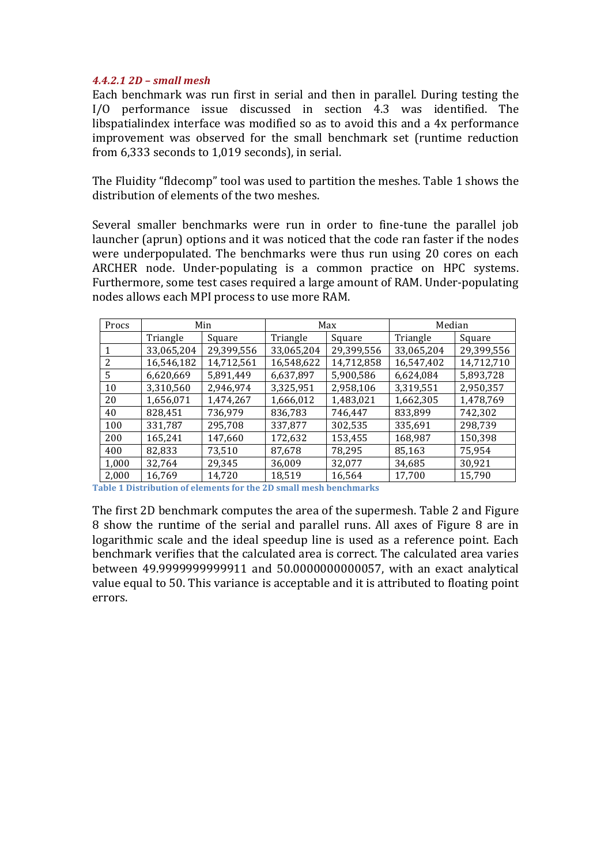## *4.4.2.1 2D – small mesh*

Each benchmark was run first in serial and then in parallel. During testing the I/O performance issue discussed in section 4.3 was identified. The libspatialindex interface was modified so as to avoid this and a 4x performance improvement was observed for the small benchmark set (runtime reduction from  $6,333$  seconds to  $1,019$  seconds), in serial.

The Fluidity "fldecomp" tool was used to partition the meshes. Table 1 shows the distribution of elements of the two meshes.

Several smaller benchmarks were run in order to fine-tune the parallel job launcher (aprun) options and it was noticed that the code ran faster if the nodes were underpopulated. The benchmarks were thus run using 20 cores on each ARCHER node. Under-populating is a common practice on HPC systems. Furthermore, some test cases required a large amount of RAM. Under-populating nodes allows each MPI process to use more RAM.

| Procs | Min        |            | Max        |            | Median     |            |
|-------|------------|------------|------------|------------|------------|------------|
|       | Triangle   | Square     | Triangle   | Square     | Triangle   | Square     |
| 1     | 33,065,204 | 29,399,556 | 33,065,204 | 29,399,556 | 33,065,204 | 29,399,556 |
| 2     | 16,546,182 | 14,712,561 | 16,548,622 | 14,712,858 | 16,547,402 | 14,712,710 |
| 5     | 6,620,669  | 5,891,449  | 6,637,897  | 5,900,586  | 6,624,084  | 5,893,728  |
| 10    | 3,310,560  | 2,946,974  | 3,325,951  | 2,958,106  | 3,319,551  | 2,950,357  |
| 20    | 1,656,071  | 1,474,267  | 1,666,012  | 1,483,021  | 1,662,305  | 1,478,769  |
| 40    | 828,451    | 736,979    | 836,783    | 746,447    | 833,899    | 742,302    |
| 100   | 331,787    | 295,708    | 337,877    | 302,535    | 335,691    | 298,739    |
| 200   | 165,241    | 147,660    | 172,632    | 153,455    | 168,987    | 150,398    |
| 400   | 82,833     | 73,510     | 87,678     | 78,295     | 85,163     | 75,954     |
| 1,000 | 32,764     | 29,345     | 36,009     | 32,077     | 34,685     | 30,921     |
| 2,000 | 16,769     | 14,720     | 18,519     | 16,564     | 17,700     | 15,790     |

**Table 1 Distribution of elements for the 2D small mesh benchmarks** 

The first 2D benchmark computes the area of the supermesh. Table 2 and Figure 8 show the runtime of the serial and parallel runs. All axes of Figure 8 are in logarithmic scale and the ideal speedup line is used as a reference point. Each benchmark verifies that the calculated area is correct. The calculated area varies between 49.9999999999911 and 50.0000000000057, with an exact analytical value equal to 50. This variance is acceptable and it is attributed to floating point errors.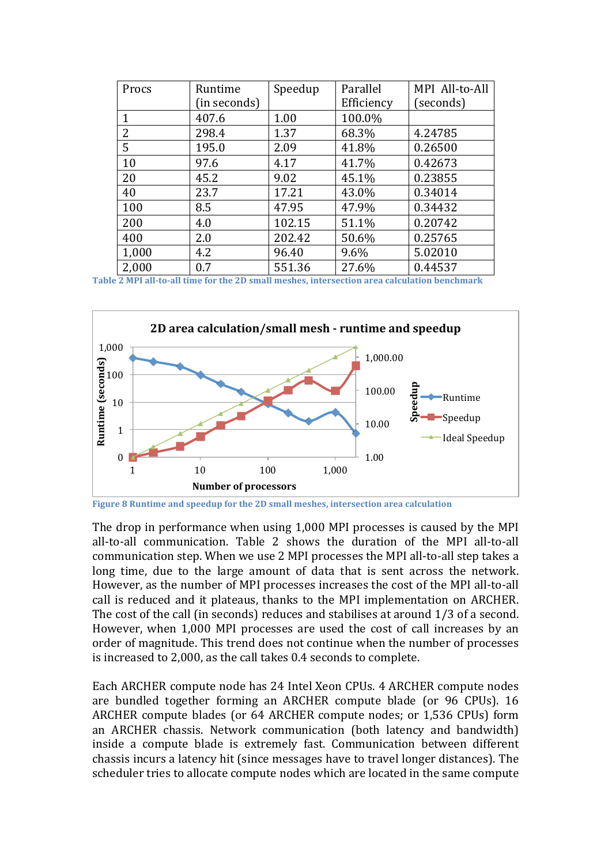| Procs        | Runtime      | Speedup | Parallel   | MPI All-to-All |
|--------------|--------------|---------|------------|----------------|
|              | (in seconds) |         | Efficiency | (seconds)      |
| $\mathbf{1}$ | 407.6        | 1.00    | 100.0%     |                |
| 2            | 298.4        | 1.37    | 68.3%      | 4.24785        |
| 5            | 195.0        | 2.09    | 41.8%      | 0.26500        |
| 10           | 97.6         | 4.17    | 41.7%      | 0.42673        |
| 20           | 45.2         | 9.02    | 45.1%      | 0.23855        |
| 40           | 23.7         | 17.21   | 43.0%      | 0.34014        |
| 100          | 8.5          | 47.95   | 47.9%      | 0.34432        |
| 200          | 4.0          | 102.15  | 51.1%      | 0.20742        |
| 400          | 2.0          | 202.42  | 50.6%      | 0.25765        |
| 1,000        | 4.2          | 96.40   | 9.6%       | 5.02010        |
| 2,000        | 0.7          | 551.36  | 27.6%      | 0.44537        |

**Table 2 MPI all-to-all time for the 2D small meshes, intersection area calculation benchmark**



Figure 8 Runtime and speedup for the 2D small meshes, intersection area calculation

The drop in performance when using 1,000 MPI processes is caused by the MPI all-to-all communication. Table 2 shows the duration of the MPI all-to-all communication step. When we use 2 MPI processes the MPI all-to-all step takes a long time, due to the large amount of data that is sent across the network. However, as the number of MPI processes increases the cost of the MPI all-to-all call is reduced and it plateaus, thanks to the MPI implementation on ARCHER. The cost of the call (in seconds) reduces and stabilises at around  $1/3$  of a second. However, when 1,000 MPI processes are used the cost of call increases by an order of magnitude. This trend does not continue when the number of processes is increased to 2,000, as the call takes 0.4 seconds to complete.

Each ARCHER compute node has 24 Intel Xeon CPUs. 4 ARCHER compute nodes are bundled together forming an ARCHER compute blade (or 96 CPUs). 16 ARCHER compute blades (or 64 ARCHER compute nodes; or 1,536 CPUs) form an ARCHER chassis. Network communication (both latency and bandwidth) inside a compute blade is extremely fast. Communication between different chassis incurs a latency hit (since messages have to travel longer distances). The scheduler tries to allocate compute nodes which are located in the same compute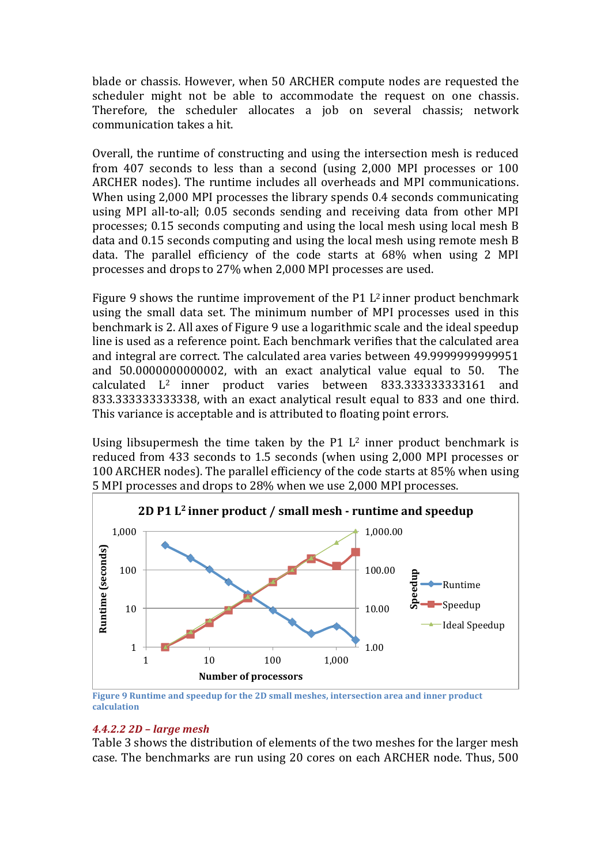blade or chassis. However, when 50 ARCHER compute nodes are requested the scheduler might not be able to accommodate the request on one chassis. Therefore, the scheduler allocates a job on several chassis; network communication takes a hit.

Overall, the runtime of constructing and using the intersection mesh is reduced from  $407$  seconds to less than a second (using  $2,000$  MPI processes or  $100$ ARCHER nodes). The runtime includes all overheads and MPI communications. When using 2,000 MPI processes the library spends 0.4 seconds communicating using MPI all-to-all; 0.05 seconds sending and receiving data from other MPI processes;  $0.15$  seconds computing and using the local mesh using local mesh  $B$ data and  $0.15$  seconds computing and using the local mesh using remote mesh  $B$ data. The parallel efficiency of the code starts at  $68\%$  when using 2 MPI processes and drops to 27% when 2,000 MPI processes are used.

Figure 9 shows the runtime improvement of the P1  $L^2$  inner product benchmark using the small data set. The minimum number of MPI processes used in this benchmark is 2. All axes of Figure 9 use a logarithmic scale and the ideal speedup line is used as a reference point. Each benchmark verifies that the calculated area and integral are correct. The calculated area varies between 49.9999999999951 and 50.00000000000002, with an exact analytical value equal to 50. The calculated L<sup>2</sup> inner product varies between 833.3333333333161 and 833.333333333338, with an exact analytical result equal to 833 and one third. This variance is acceptable and is attributed to floating point errors.

Using libsupermesh the time taken by the  $P1$   $L^2$  inner product benchmark is reduced from 433 seconds to 1.5 seconds (when using 2,000 MPI processes or 100 ARCHER nodes). The parallel efficiency of the code starts at 85% when using 5 MPI processes and drops to 28% when we use 2,000 MPI processes.



**Figure 9 Runtime and speedup for the 2D small meshes, intersection area and inner product calculation**

## *4.4.2.2 2D – large mesh*

Table 3 shows the distribution of elements of the two meshes for the larger mesh case. The benchmarks are run using 20 cores on each ARCHER node. Thus, 500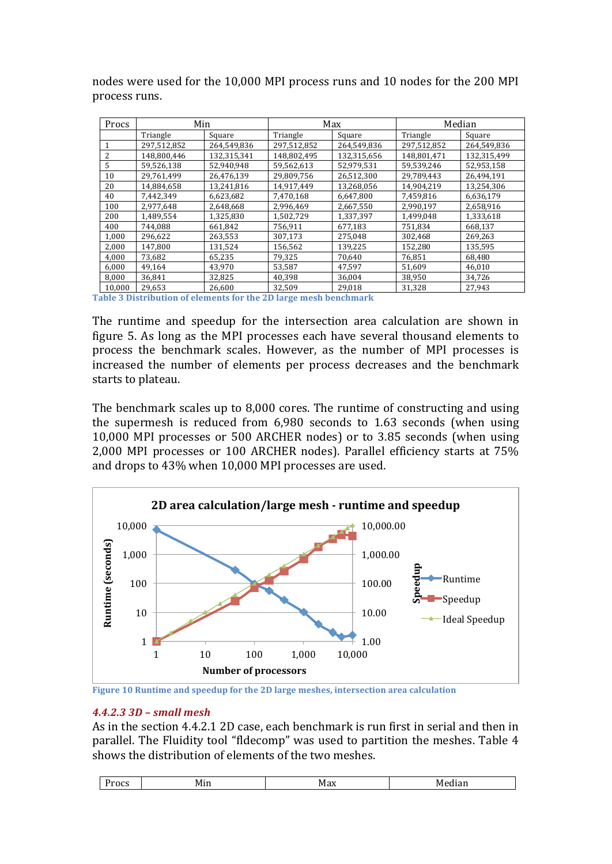| Procs  | Min         |             | Max         |             | Median      |             |
|--------|-------------|-------------|-------------|-------------|-------------|-------------|
|        | Triangle    | Square      | Triangle    | Square      | Triangle    | Square      |
|        | 297,512,852 | 264,549,836 | 297,512,852 | 264,549,836 | 297,512,852 | 264,549,836 |
| 2      | 148,800,446 | 132,315,341 | 148,802,495 | 132,315,656 | 148,801,471 | 132,315,499 |
| 5      | 59,526,138  | 52,940,948  | 59,562,613  | 52,979,531  | 59,539,246  | 52,953,158  |
| 10     | 29,761,499  | 26,476,139  | 29,809,756  | 26,512,300  | 29,789,443  | 26,494,191  |
| 20     | 14,884,658  | 13,241,816  | 14,917,449  | 13,268,056  | 14,904,219  | 13,254,306  |
| 40     | 7.442.349   | 6,623,682   | 7,470,168   | 6,647,800   | 7.459.816   | 6,636,179   |
| 100    | 2,977,648   | 2,648,668   | 2,996,469   | 2,667,550   | 2,990,197   | 2,658,916   |
| 200    | 1,489,554   | 1,325,830   | 1,502,729   | 1,337,397   | 1,499,048   | 1,333,618   |
| 400    | 744,088     | 661,842     | 756,911     | 677,183     | 751,834     | 668,137     |
| 1,000  | 296,622     | 263,553     | 307,173     | 275,048     | 302,468     | 269,263     |
| 2.000  | 147.800     | 131,524     | 156,562     | 139,225     | 152,280     | 135,595     |
| 4,000  | 73,682      | 65,235      | 79,325      | 70,640      | 76,851      | 68,480      |
| 6,000  | 49,164      | 43,970      | 53,587      | 47,597      | 51,609      | 46,010      |
| 8,000  | 36,841      | 32,825      | 40,398      | 36,004      | 38,950      | 34,726      |
| 10.000 | 29.653      | 26.600      | 32.509      | 29.018      | 31.328      | 27.943      |

nodes were used for the 10,000 MPI process runs and 10 nodes for the 200 MPI process runs.

**Table 3 Distribution of elements for the 2D large mesh benchmark**

The runtime and speedup for the intersection area calculation are shown in figure 5. As long as the MPI processes each have several thousand elements to process the benchmark scales. However, as the number of MPI processes is increased the number of elements per process decreases and the benchmark starts to plateau.

The benchmark scales up to 8,000 cores. The runtime of constructing and using the supermesh is reduced from  $6,980$  seconds to  $1.63$  seconds (when using 10,000 MPI processes or 500 ARCHER nodes) or to 3.85 seconds (when using 2,000 MPI processes or 100 ARCHER nodes). Parallel efficiency starts at 75% and drops to 43% when 10,000 MPI processes are used.



Figure 10 Runtime and speedup for the 2D large meshes, intersection area calculation

## *4.4.2.3 3D – small mesh*

As in the section 4.4.2.1 2D case, each benchmark is run first in serial and then in parallel. The Fluidity tool "fldecomp" was used to partition the meshes. Table 4 shows the distribution of elements of the two meshes.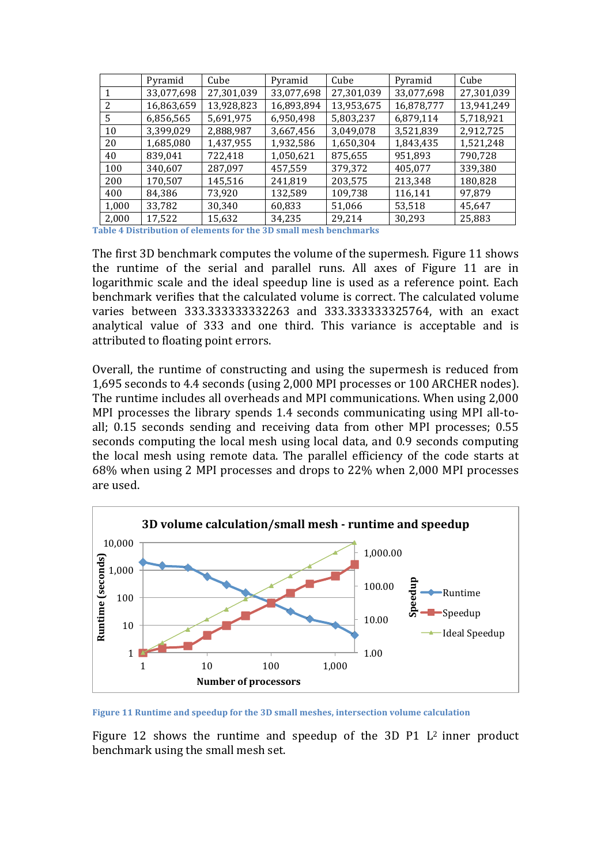|       | Pyramid    | Cube       | Pyramid    | Cube       | Pyramid    | Cube       |
|-------|------------|------------|------------|------------|------------|------------|
| 1     | 33,077,698 | 27,301,039 | 33,077,698 | 27,301,039 | 33,077,698 | 27,301,039 |
| 2     | 16,863,659 | 13,928,823 | 16,893,894 | 13,953,675 | 16,878,777 | 13,941,249 |
| 5     | 6,856,565  | 5,691,975  | 6,950,498  | 5,803,237  | 6,879,114  | 5,718,921  |
| 10    | 3,399,029  | 2,888,987  | 3,667,456  | 3,049,078  | 3,521,839  | 2,912,725  |
| 20    | 1,685,080  | 1,437,955  | 1,932,586  | 1,650,304  | 1,843,435  | 1,521,248  |
| 40    | 839,041    | 722,418    | 1,050,621  | 875,655    | 951,893    | 790,728    |
| 100   | 340,607    | 287,097    | 457,559    | 379,372    | 405,077    | 339,380    |
| 200   | 170,507    | 145,516    | 241,819    | 203,575    | 213,348    | 180,828    |
| 400   | 84,386     | 73,920     | 132,589    | 109,738    | 116,141    | 97,879     |
| 1,000 | 33,782     | 30,340     | 60,833     | 51,066     | 53,518     | 45,647     |
| 2,000 | 17,522     | 15,632     | 34,235     | 29,214     | 30,293     | 25,883     |

**Table 4 Distribution of elements for the 3D small mesh benchmarks** 

The first 3D benchmark computes the volume of the supermesh. Figure 11 shows the runtime of the serial and parallel runs. All axes of Figure 11 are in logarithmic scale and the ideal speedup line is used as a reference point. Each benchmark verifies that the calculated volume is correct. The calculated volume varies between 333.33333332263 and 333.333333325764, with an exact analytical value of 333 and one third. This variance is acceptable and is attributed to floating point errors.

Overall, the runtime of constructing and using the supermesh is reduced from 1,695 seconds to 4.4 seconds (using 2,000 MPI processes or 100 ARCHER nodes). The runtime includes all overheads and MPI communications. When using 2,000 MPI processes the library spends 1.4 seconds communicating using MPI all-toall; 0.15 seconds sending and receiving data from other MPI processes; 0.55 seconds computing the local mesh using local data, and 0.9 seconds computing the local mesh using remote data. The parallel efficiency of the code starts at 68% when using 2 MPI processes and drops to 22% when 2,000 MPI processes are used.



Figure 11 Runtime and speedup for the 3D small meshes, intersection volume calculation

Figure 12 shows the runtime and speedup of the 3D  $P1$  L<sup>2</sup> inner product benchmark using the small mesh set.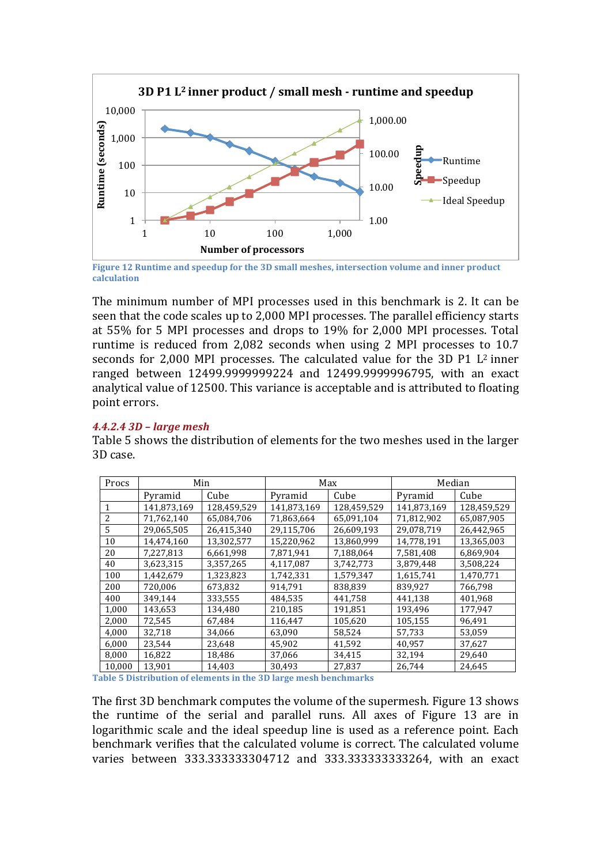

**Figure 12 Runtime and speedup for the 3D small meshes, intersection volume and inner product calculation**

The minimum number of MPI processes used in this benchmark is 2. It can be seen that the code scales up to 2,000 MPI processes. The parallel efficiency starts at 55% for 5 MPI processes and drops to 19% for 2,000 MPI processes. Total runtime is reduced from  $2,082$  seconds when using  $2$  MPI processes to  $10.7$ seconds for  $2,000$  MPI processes. The calculated value for the 3D P1 L<sup>2</sup> inner ranged between 12499.999999224 and 12499.9999996795, with an exact analytical value of 12500. This variance is acceptable and is attributed to floating point errors.

## *4.4.2.4 3D – large mesh*

Table 5 shows the distribution of elements for the two meshes used in the larger 3D case. 

| Procs  | Min         |             | Max         |             | Median      |             |
|--------|-------------|-------------|-------------|-------------|-------------|-------------|
|        | Pyramid     | Cube        | Pyramid     | Cube        | Pyramid     | Cube        |
| 1      | 141,873,169 | 128,459,529 | 141,873,169 | 128,459,529 | 141,873,169 | 128,459,529 |
| 2      | 71,762,140  | 65,084,706  | 71,863,664  | 65,091,104  | 71,812,902  | 65,087,905  |
| 5      | 29,065,505  | 26,415,340  | 29,115,706  | 26,609,193  | 29,078,719  | 26,442,965  |
| 10     | 14,474,160  | 13,302,577  | 15,220,962  | 13,860,999  | 14,778,191  | 13,365,003  |
| 20     | 7,227,813   | 6,661,998   | 7,871,941   | 7,188,064   | 7,581,408   | 6,869,904   |
| 40     | 3,623,315   | 3,357,265   | 4,117,087   | 3,742,773   | 3,879,448   | 3,508,224   |
| 100    | 1,442,679   | 1,323,823   | 1,742,331   | 1,579,347   | 1,615,741   | 1,470,771   |
| 200    | 720,006     | 673,832     | 914,791     | 838,839     | 839,927     | 766,798     |
| 400    | 349,144     | 333,555     | 484,535     | 441,758     | 441,138     | 401,968     |
| 1,000  | 143,653     | 134,480     | 210,185     | 191,851     | 193,496     | 177,947     |
| 2,000  | 72,545      | 67,484      | 116,447     | 105,620     | 105,155     | 96,491      |
| 4,000  | 32,718      | 34,066      | 63,090      | 58,524      | 57,733      | 53,059      |
| 6,000  | 23,544      | 23,648      | 45,902      | 41,592      | 40,957      | 37,627      |
| 8,000  | 16,822      | 18,486      | 37,066      | 34,415      | 32,194      | 29,640      |
| 10,000 | 13,901      | 14,403      | 30,493      | 27,837      | 26,744      | 24,645      |

**Table 5 Distribution of elements in the 3D large mesh benchmarks** 

The first 3D benchmark computes the volume of the supermesh. Figure 13 shows the runtime of the serial and parallel runs. All axes of Figure 13 are in logarithmic scale and the ideal speedup line is used as a reference point. Each benchmark verifies that the calculated volume is correct. The calculated volume varies between 333.333333304712 and 333.333333333264, with an exact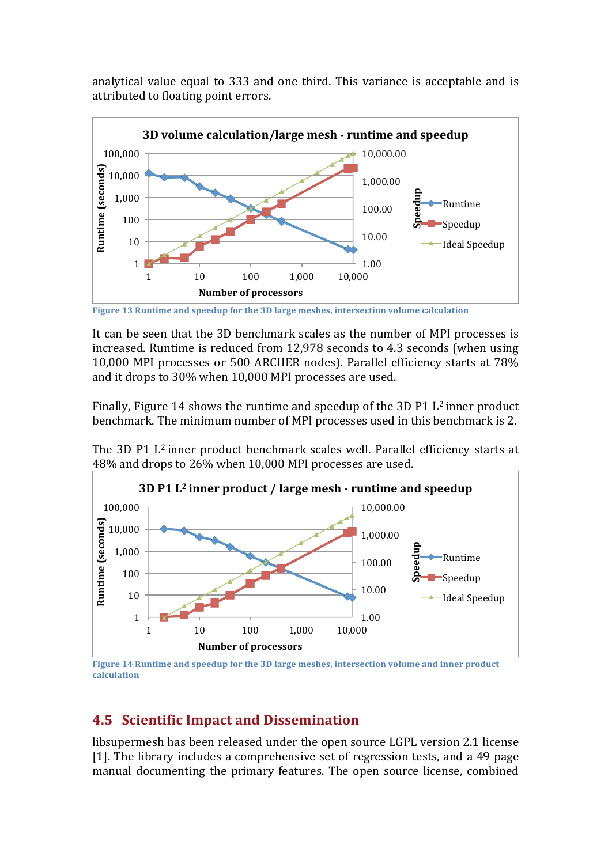analytical value equal to 333 and one third. This variance is acceptable and is attributed to floating point errors.



**Figure 13 Runtime and speedup for the 3D large meshes, intersection volume calculation** 

It can be seen that the 3D benchmark scales as the number of MPI processes is increased. Runtime is reduced from 12,978 seconds to 4.3 seconds (when using 10,000 MPI processes or 500 ARCHER nodes). Parallel efficiency starts at 78% and it drops to 30% when 10,000 MPI processes are used.

Finally, Figure 14 shows the runtime and speedup of the 3D P1  $L^2$  inner product benchmark. The minimum number of MPI processes used in this benchmark is 2.

The 3D P1 L<sup>2</sup> inner product benchmark scales well. Parallel efficiency starts at 48% and drops to 26% when 10,000 MPI processes are used.



Figure 14 Runtime and speedup for the 3D large meshes, intersection volume and inner product **calculation**

## **4.5 Scientific Impact and Dissemination**

libsupermesh has been released under the open source LGPL version 2.1 license [1]. The library includes a comprehensive set of regression tests, and a 49 page manual documenting the primary features. The open source license, combined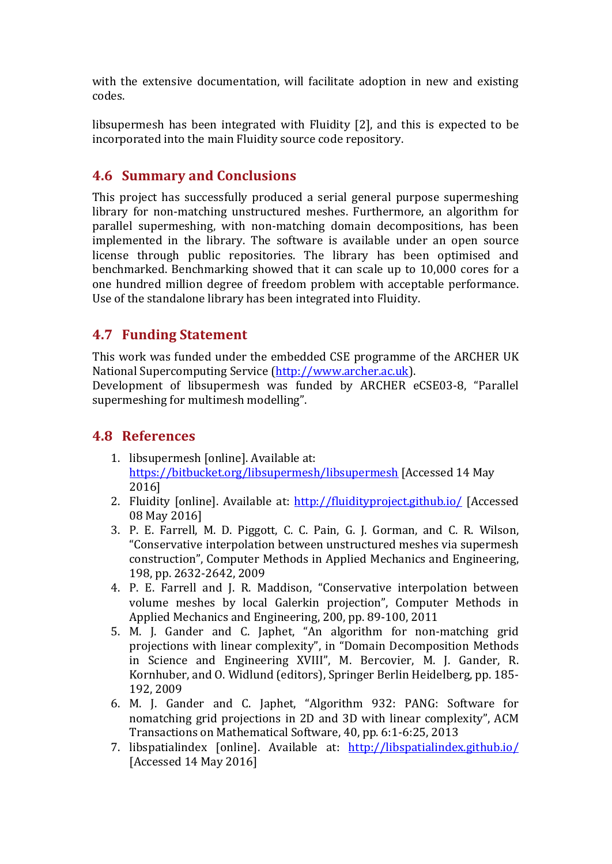with the extensive documentation, will facilitate adoption in new and existing codes.

libsupermesh has been integrated with Fluidity [2], and this is expected to be incorporated into the main Fluidity source code repository.

## **4.6 Summary and Conclusions**

This project has successfully produced a serial general purpose supermeshing library for non-matching unstructured meshes. Furthermore, an algorithm for parallel supermeshing, with non-matching domain decompositions, has been implemented in the library. The software is available under an open source license through public repositories. The library has been optimised and benchmarked. Benchmarking showed that it can scale up to 10,000 cores for a one hundred million degree of freedom problem with acceptable performance. Use of the standalone library has been integrated into Fluidity.

## **4.7 Funding Statement**

This work was funded under the embedded CSE programme of the ARCHER UK National Supercomputing Service (http://www.archer.ac.uk).

Development of libsupermesh was funded by ARCHER eCSE03-8, "Parallel supermeshing for multimesh modelling".

## **4.8 References**

- 1. libsupermesh [online]. Available at: https://bitbucket.org/libsupermesh/libsupermesh [Accessed 14 May 2016]
- 2. Fluidity [online]. Available at: http://fluidityproject.github.io/ [Accessed 08 May 2016]
- 3. P. E. Farrell, M. D. Piggott, C. C. Pain, G. J. Gorman, and C. R. Wilson, "Conservative interpolation between unstructured meshes via supermesh construction", Computer Methods in Applied Mechanics and Engineering, 198, pp. 2632-2642, 2009
- 4. P. E. Farrell and J. R. Maddison, "Conservative interpolation between volume meshes by local Galerkin projection", Computer Methods in Applied Mechanics and Engineering, 200, pp. 89-100, 2011
- 5. M. J. Gander and C. Japhet, "An algorithm for non-matching grid projections with linear complexity", in "Domain Decomposition Methods in Science and Engineering XVIII", M. Bercovier, M. J. Gander, R. Kornhuber, and O. Widlund (editors), Springer Berlin Heidelberg, pp. 185-192, 2009
- 6. M. J. Gander and C. Japhet, "Algorithm 932: PANG: Software for nomatching grid projections in 2D and 3D with linear complexity", ACM Transactions on Mathematical Software, 40, pp. 6:1-6:25, 2013
- 7. libspatialindex [online]. Available at: http://libspatialindex.github.io/ [Accessed 14 May 2016]